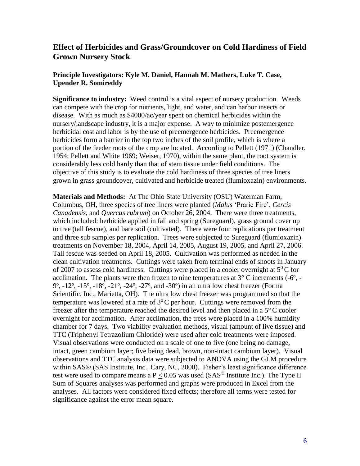## **Effect of Herbicides and Grass/Groundcover on Cold Hardiness of Field Grown Nursery Stock**

## **Principle Investigators: Kyle M. Daniel, Hannah M. Mathers, Luke T. Case, Upender R. Somireddy**

**Significance to industry:** Weed control is a vital aspect of nursery production. Weeds can compete with the crop for nutrients, light, and water, and can harbor insects or disease. With as much as \$4000/ac/year spent on chemical herbicides within the nursery/landscape industry, it is a major expense. A way to minimize postemergence herbicidal cost and labor is by the use of preemergence herbicides. Preemergence herbicides form a barrier in the top two inches of the soil profile, which is where a portion of the feeder roots of the crop are located. According to Pellett (1971) (Chandler, 1954; Pellett and White 1969; Weiser, 1970), within the same plant, the root system is considerably less cold hardy than that of stem tissue under field conditions. The objective of this study is to evaluate the cold hardiness of three species of tree liners grown in grass groundcover, cultivated and herbicide treated (flumioxazin) environments.

**Materials and Methods:** At The Ohio State University (OSU) Waterman Farm, Columbus, OH, three species of tree liners were planted (*Malus* 'Prarie Fire', *Cercis Canadensis,* and *Quercus rubrum*) on October 26, 2004. There were three treatments, which included: herbicide applied in fall and spring (Sureguard), grass ground cover up to tree (tall fescue), and bare soil (cultivated). There were four replications per treatment and three sub samples per replication. Trees were subjected to Sureguard (flumioxazin) treatments on November 18, 2004, April 14, 2005, August 19, 2005, and April 27, 2006. Tall fescue was seeded on April 18, 2005. Cultivation was performed as needed in the clean cultivation treatments. Cuttings were taken from terminal ends of shoots in January of 2007 to assess cold hardiness. Cuttings were placed in a cooler overnight at  $5^{0}$ C for acclimation. The plants were then frozen to nine temperatures at  $3^{\circ}$  C increments (-6<sup>o</sup>, - $9^{\circ}$ ,  $-12^{\circ}$ ,  $-15^{\circ}$ ,  $-18^{\circ}$ ,  $-21^{\circ}$ ,  $-24^{\circ}$ ,  $-27^{\circ}$ , and  $-30^{\circ}$ ) in an ultra low chest freezer (Forma Scientific, Inc., Marietta, OH). The ultra low chest freezer was programmed so that the temperature was lowered at a rate of  $3^{\circ}$ C per hour. Cuttings were removed from the freezer after the temperature reached the desired level and then placed in a 5° C cooler overnight for acclimation. After acclimation, the trees were placed in a 100% humidity chamber for 7 days. Two viability evaluation methods, visual (amount of live tissue) and TTC (Triphenyl Tetrazolium Chloride) were used after cold treatments were imposed. Visual observations were conducted on a scale of one to five (one being no damage, intact, green cambium layer; five being dead, brown, non-intact cambium layer). Visual observations and TTC analysis data were subjected to ANOVA using the GLM procedure within SAS® (SAS Institute, Inc., Cary, NC, 2000). Fisher's least significance difference test were used to compare means a  $P < 0.05$  was used (SAS<sup>©</sup> Institute Inc.). The Type II Sum of Squares analyses was performed and graphs were produced in Excel from the analyses. All factors were considered fixed effects; therefore all terms were tested for significance against the error mean square.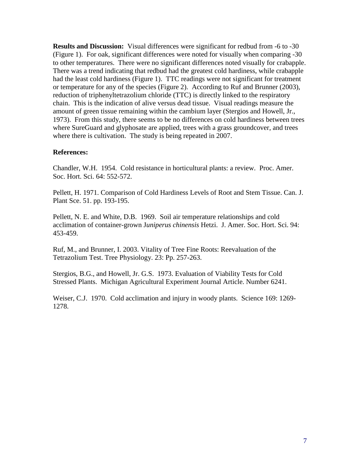**Results and Discussion:** Visual differences were significant for redbud from -6 to -30 (Figure 1). For oak, significant differences were noted for visually when comparing -30 to other temperatures. There were no significant differences noted visually for crabapple. There was a trend indicating that redbud had the greatest cold hardiness, while crabapple had the least cold hardiness (Figure 1). TTC readings were not significant for treatment or temperature for any of the species (Figure 2). According to Ruf and Brunner (2003), reduction of triphenyltetrazolium chloride (TTC) is directly linked to the respiratory chain. This is the indication of alive versus dead tissue. Visual readings measure the amount of green tissue remaining within the cambium layer (Stergios and Howell, Jr., 1973). From this study, there seems to be no differences on cold hardiness between trees where SureGuard and glyphosate are applied, trees with a grass groundcover, and trees where there is cultivation. The study is being repeated in 2007.

## **References:**

Chandler, W.H. 1954. Cold resistance in horticultural plants: a review. Proc. Amer. Soc. Hort. Sci. 64: 552-572.

Pellett, H. 1971. Comparison of Cold Hardiness Levels of Root and Stem Tissue. Can. J. Plant Sce. 51. pp. 193-195.

Pellett, N. E. and White, D.B. 1969. Soil air temperature relationships and cold acclimation of container-grown J*uniperus chinensis* Hetzi. J. Amer. Soc. Hort. Sci. 94: 453-459.

Ruf, M., and Brunner, I. 2003. Vitality of Tree Fine Roots: Reevaluation of the Tetrazolium Test. Tree Physiology. 23: Pp. 257-263.

Stergios, B.G., and Howell, Jr. G.S. 1973. Evaluation of Viability Tests for Cold Stressed Plants. Michigan Agricultural Experiment Journal Article. Number 6241.

Weiser, C.J. 1970. Cold acclimation and injury in woody plants. Science 169: 1269- 1278.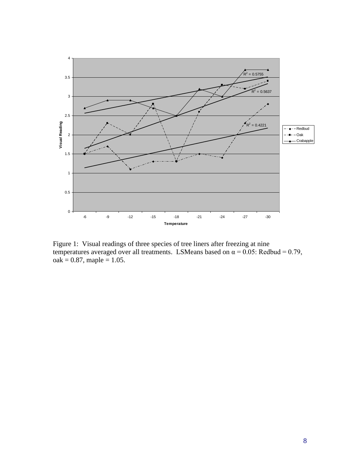

Figure 1: Visual readings of three species of tree liners after freezing at nine temperatures averaged over all treatments. LSMeans based on  $\alpha = 0.05$ : Redbud = 0.79,  $oak = 0.87$ , maple = 1.05.